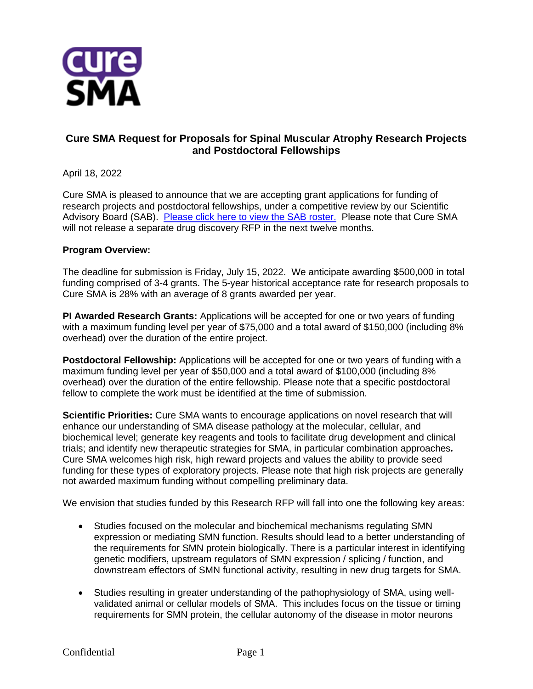

## **Cure SMA Request for Proposals for Spinal Muscular Atrophy Research Projects and Postdoctoral Fellowships**

April 18, 2022

Cure SMA is pleased to announce that we are accepting grant applications for funding of research projects and postdoctoral fellowships, under a competitive review by our Scientific Advisory Board (SAB). [Please click here to view the SAB roster.](https://www.curesma.org/team-and-board/) Please note that Cure SMA will not release a separate drug discovery RFP in the next twelve months.

## **Program Overview:**

The deadline for submission is Friday, July 15, 2022. We anticipate awarding \$500,000 in total funding comprised of 3-4 grants. The 5-year historical acceptance rate for research proposals to Cure SMA is 28% with an average of 8 grants awarded per year.

**PI Awarded Research Grants:** Applications will be accepted for one or two years of funding with a maximum funding level per year of \$75,000 and a total award of \$150,000 (including 8% overhead) over the duration of the entire project.

**Postdoctoral Fellowship:** Applications will be accepted for one or two years of funding with a maximum funding level per year of \$50,000 and a total award of \$100,000 (including 8% overhead) over the duration of the entire fellowship. Please note that a specific postdoctoral fellow to complete the work must be identified at the time of submission.

**Scientific Priorities:** Cure SMA wants to encourage applications on novel research that will enhance our understanding of SMA disease pathology at the molecular, cellular, and biochemical level; generate key reagents and tools to facilitate drug development and clinical trials; and identify new therapeutic strategies for SMA, in particular combination approaches*.*  Cure SMA welcomes high risk, high reward projects and values the ability to provide seed funding for these types of exploratory projects. Please note that high risk projects are generally not awarded maximum funding without compelling preliminary data.

We envision that studies funded by this Research RFP will fall into one the following key areas:

- Studies focused on the molecular and biochemical mechanisms regulating SMN expression or mediating SMN function. Results should lead to a better understanding of the requirements for SMN protein biologically. There is a particular interest in identifying genetic modifiers, upstream regulators of SMN expression / splicing / function, and downstream effectors of SMN functional activity, resulting in new drug targets for SMA.
- Studies resulting in greater understanding of the pathophysiology of SMA, using wellvalidated animal or cellular models of SMA. This includes focus on the tissue or timing requirements for SMN protein, the cellular autonomy of the disease in motor neurons